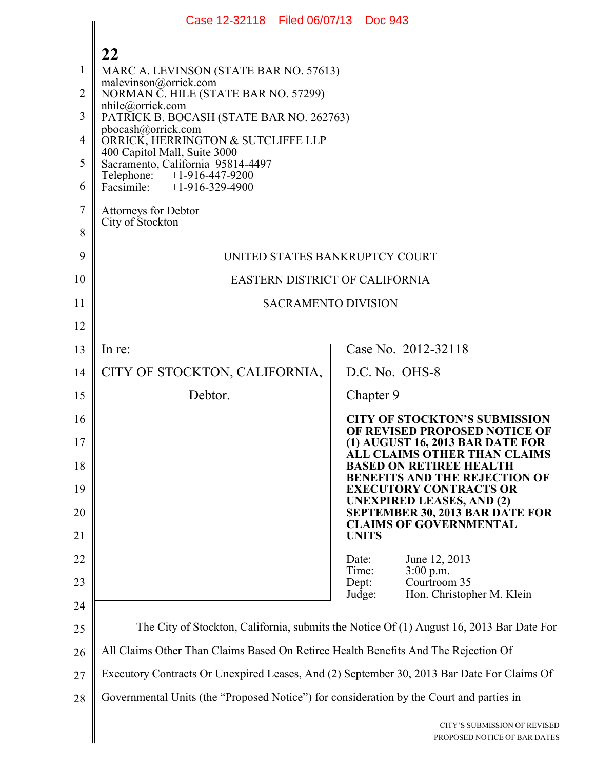|                                                                | Case 12-32118   Filed 06/07/13   Doc 943                                                                                                                                                                                                                                                                                                                                                                                        |  |
|----------------------------------------------------------------|---------------------------------------------------------------------------------------------------------------------------------------------------------------------------------------------------------------------------------------------------------------------------------------------------------------------------------------------------------------------------------------------------------------------------------|--|
| 1<br>$\overline{2}$<br>3<br>4<br>5<br>6<br>$\overline{7}$<br>8 | 22<br>MARC A. LEVINSON (STATE BAR NO. 57613)<br>malevinson@orrick.com<br>NORMAN C. HILE (STATE BAR NO. 57299)<br>nhile@orrick.com<br>PATRICK B. BOCASH (STATE BAR NO. 262763)<br>pbocash@orrick.com<br>ORRICK, HERRINGTON & SUTCLIFFE LLP<br>400 Capitol Mall, Suite 3000<br>Sacramento, California 95814-4497<br>Telephone: +1-916-447-9200<br>Facsimile: $+1-916-329-4900$<br><b>Attorneys for Debtor</b><br>City of Stockton |  |
| 9                                                              | UNITED STATES BANKRUPTCY COURT                                                                                                                                                                                                                                                                                                                                                                                                  |  |
| 10                                                             | <b>EASTERN DISTRICT OF CALIFORNIA</b>                                                                                                                                                                                                                                                                                                                                                                                           |  |
| 11                                                             | <b>SACRAMENTO DIVISION</b>                                                                                                                                                                                                                                                                                                                                                                                                      |  |
| 12                                                             |                                                                                                                                                                                                                                                                                                                                                                                                                                 |  |
| 13                                                             | Case No. 2012-32118<br>In re:                                                                                                                                                                                                                                                                                                                                                                                                   |  |
| 14                                                             | CITY OF STOCKTON, CALIFORNIA,<br>D.C. No. OHS-8                                                                                                                                                                                                                                                                                                                                                                                 |  |
| 15                                                             | Debtor.<br>Chapter 9                                                                                                                                                                                                                                                                                                                                                                                                            |  |
| 16<br>17<br>18<br>19                                           | <b>CITY OF STOCKTON'S SUBMISSION</b><br>OF REVISED PROPOSED NOTICE OF<br>(1) AUGUST 16, 2013 BAR DATE FOR<br><b>ALL CLAIMS OTHER THAN CLAIMS</b><br><b>BASED ON RETIREE HEALTH</b><br><b>BENEFITS AND THE REJECTION OF</b><br><b>EXECUTORY CONTRACTS OR</b>                                                                                                                                                                     |  |
| 20<br>21                                                       | <b>UNEXPIRED LEASES, AND (2)</b><br><b>SEPTEMBER 30, 2013 BAR DATE FOR</b><br><b>CLAIMS OF GOVERNMENTAL</b><br><b>UNITS</b>                                                                                                                                                                                                                                                                                                     |  |
| 22                                                             | June 12, 2013<br>Date:                                                                                                                                                                                                                                                                                                                                                                                                          |  |
| 23                                                             | Time:<br>$3:00$ p.m.<br>Courtroom 35<br>Dept:                                                                                                                                                                                                                                                                                                                                                                                   |  |
| 24                                                             | Hon. Christopher M. Klein<br>Judge:                                                                                                                                                                                                                                                                                                                                                                                             |  |
| 25                                                             | The City of Stockton, California, submits the Notice Of (1) August 16, 2013 Bar Date For                                                                                                                                                                                                                                                                                                                                        |  |
| 26                                                             | All Claims Other Than Claims Based On Retiree Health Benefits And The Rejection Of                                                                                                                                                                                                                                                                                                                                              |  |
| 27                                                             | Executory Contracts Or Unexpired Leases, And (2) September 30, 2013 Bar Date For Claims Of                                                                                                                                                                                                                                                                                                                                      |  |
| 28                                                             | Governmental Units (the "Proposed Notice") for consideration by the Court and parties in                                                                                                                                                                                                                                                                                                                                        |  |
|                                                                | CITY'S SUBMISSION OF REVISED<br>PROPOSED NOTICE OF BAR DATES                                                                                                                                                                                                                                                                                                                                                                    |  |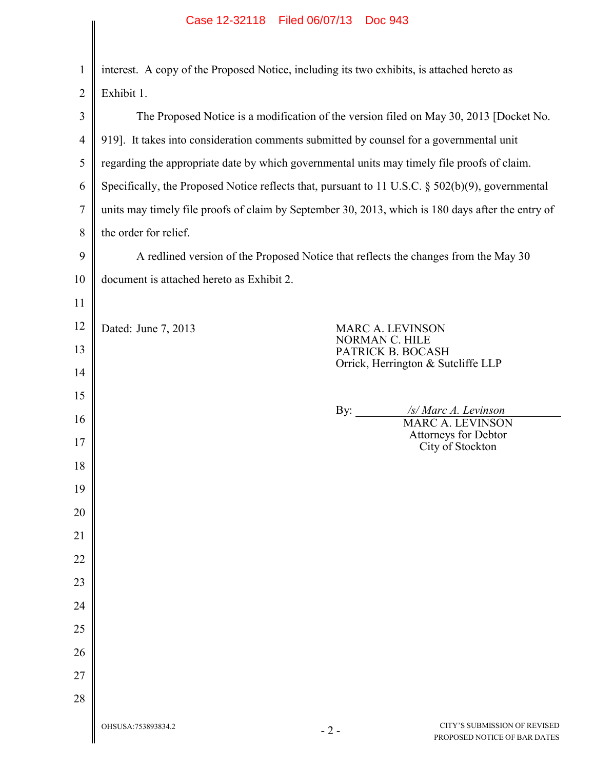|                | Case IZ-32118 – Filed 00/07/13 – DOC 943                                                         |                                                                                                   |  |  |
|----------------|--------------------------------------------------------------------------------------------------|---------------------------------------------------------------------------------------------------|--|--|
|                |                                                                                                  |                                                                                                   |  |  |
| $\mathbf{1}$   | interest. A copy of the Proposed Notice, including its two exhibits, is attached hereto as       |                                                                                                   |  |  |
| $\overline{2}$ | Exhibit 1.                                                                                       |                                                                                                   |  |  |
| 3              |                                                                                                  | The Proposed Notice is a modification of the version filed on May 30, 2013 [Docket No.            |  |  |
| $\overline{4}$ | 919]. It takes into consideration comments submitted by counsel for a governmental unit          |                                                                                                   |  |  |
| 5              | regarding the appropriate date by which governmental units may timely file proofs of claim.      |                                                                                                   |  |  |
| 6              | Specifically, the Proposed Notice reflects that, pursuant to 11 U.S.C. § 502(b)(9), governmental |                                                                                                   |  |  |
| $\overline{7}$ |                                                                                                  | units may timely file proofs of claim by September 30, 2013, which is 180 days after the entry of |  |  |
| 8              | the order for relief.                                                                            |                                                                                                   |  |  |
| 9              | A redlined version of the Proposed Notice that reflects the changes from the May 30              |                                                                                                   |  |  |
| 10             | document is attached hereto as Exhibit 2.                                                        |                                                                                                   |  |  |
| 11             |                                                                                                  |                                                                                                   |  |  |
| 12             | Dated: June 7, 2013                                                                              | MARC A. LEVINSON                                                                                  |  |  |
| 13             |                                                                                                  | NORMAN C. HILE<br>PATRICK B. BOCASH                                                               |  |  |
| 14             |                                                                                                  | Orrick, Herrington & Sutcliffe LLP                                                                |  |  |
| 15             |                                                                                                  |                                                                                                   |  |  |
| 16             |                                                                                                  | /s/ Marc A. Levinson<br>By: $\qquad \qquad$<br><b>MARC A. LEVINSON</b>                            |  |  |
| 17             |                                                                                                  | Attorneys for Debtor<br>City of Stockton                                                          |  |  |
| 18             |                                                                                                  |                                                                                                   |  |  |
| 19             |                                                                                                  |                                                                                                   |  |  |
| 20             |                                                                                                  |                                                                                                   |  |  |
| 21             |                                                                                                  |                                                                                                   |  |  |
| 22             |                                                                                                  |                                                                                                   |  |  |
| 23             |                                                                                                  |                                                                                                   |  |  |
| 24             |                                                                                                  |                                                                                                   |  |  |
| 25             |                                                                                                  |                                                                                                   |  |  |
| 26             |                                                                                                  |                                                                                                   |  |  |
| 27             |                                                                                                  |                                                                                                   |  |  |
| 28             |                                                                                                  |                                                                                                   |  |  |
|                | OHSUSA:753893834.2<br>$-2-$                                                                      | <b>CITY'S SUBMISSION OF REVISED</b><br>PROPOSED NOTICE OF BAR DATES                               |  |  |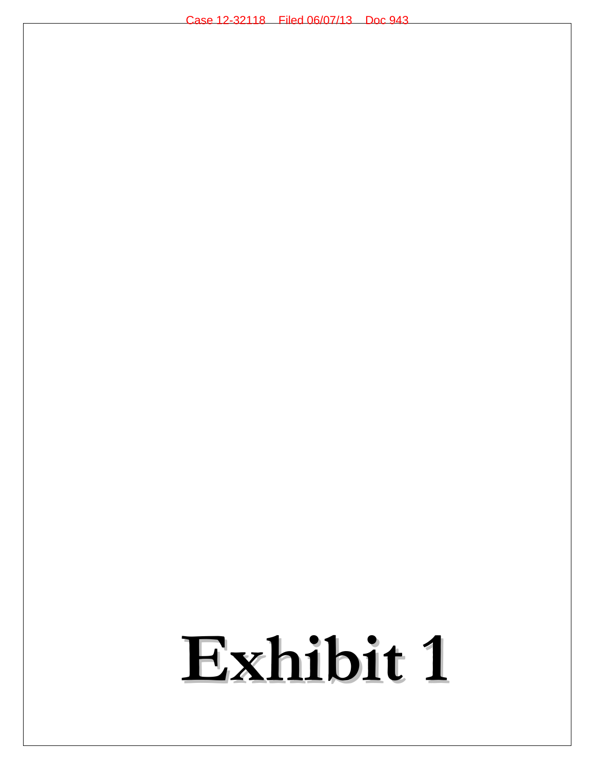# **Exhibit 1**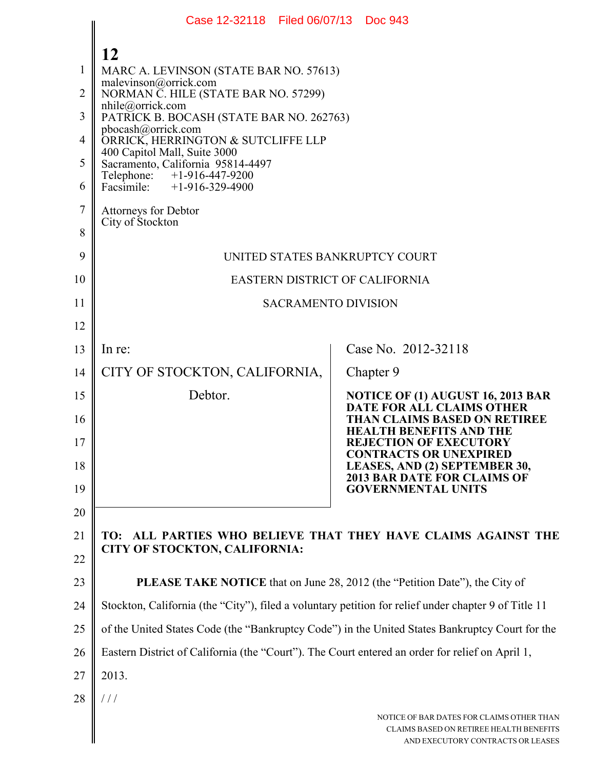|                                                                     | Case 12-32118   Filed 06/07/13   Doc 943                                                                                                                                                                                                                                                                                                                                                                               |                                                                                                                                         |  |
|---------------------------------------------------------------------|------------------------------------------------------------------------------------------------------------------------------------------------------------------------------------------------------------------------------------------------------------------------------------------------------------------------------------------------------------------------------------------------------------------------|-----------------------------------------------------------------------------------------------------------------------------------------|--|
| 1<br>$\overline{2}$<br>3<br>$\overline{4}$<br>5<br>6<br>$\tau$<br>8 | 12<br>MARC A. LEVINSON (STATE BAR NO. 57613)<br>malevinson@orrick.com<br>NORMAN C. HILE (STATE BAR NO. 57299)<br>nhile@orrick.com<br>PATRICK B. BOCASH (STATE BAR NO. 262763)<br>pbocash@orrick.com<br>ORRICK, HERRINGTON & SUTCLIFFE LLP<br>400 Capitol Mall, Suite 3000<br>Sacramento, California 95814-4497<br>Telephone: +1-916-447-9200<br>Facsimile: +1-916-329-4900<br>Attorneys for Debtor<br>City of Stockton |                                                                                                                                         |  |
| 9                                                                   |                                                                                                                                                                                                                                                                                                                                                                                                                        | UNITED STATES BANKRUPTCY COURT                                                                                                          |  |
| 10                                                                  | <b>EASTERN DISTRICT OF CALIFORNIA</b>                                                                                                                                                                                                                                                                                                                                                                                  |                                                                                                                                         |  |
| 11                                                                  | <b>SACRAMENTO DIVISION</b>                                                                                                                                                                                                                                                                                                                                                                                             |                                                                                                                                         |  |
| 12                                                                  |                                                                                                                                                                                                                                                                                                                                                                                                                        |                                                                                                                                         |  |
| 13                                                                  | In re:                                                                                                                                                                                                                                                                                                                                                                                                                 | Case No. 2012-32118                                                                                                                     |  |
| 14                                                                  | CITY OF STOCKTON, CALIFORNIA,<br>Chapter 9                                                                                                                                                                                                                                                                                                                                                                             |                                                                                                                                         |  |
| 15                                                                  | Debtor.                                                                                                                                                                                                                                                                                                                                                                                                                | NOTICE OF (1) AUGUST 16, 2013 BAR<br>DATE FOR ALL CLAIMS OTHER                                                                          |  |
| 16<br>17                                                            |                                                                                                                                                                                                                                                                                                                                                                                                                        | <b>THAN CLAIMS BASED ON RETIREE</b><br><b>HEALTH BENEFITS AND THE</b><br><b>REJECTION OF EXECUTORY</b><br><b>CONTRACTS OR UNEXPIRED</b> |  |
| 18<br>19                                                            |                                                                                                                                                                                                                                                                                                                                                                                                                        | LEASES, AND (2) SEPTEMBER 30,<br><b>2013 BAR DATE FOR CLAIMS OF</b><br><b>GOVERNMENTAL UNITS</b>                                        |  |
| 20                                                                  |                                                                                                                                                                                                                                                                                                                                                                                                                        |                                                                                                                                         |  |
| 21                                                                  | ALL PARTIES WHO BELIEVE THAT THEY HAVE CLAIMS AGAINST THE<br>TO:                                                                                                                                                                                                                                                                                                                                                       |                                                                                                                                         |  |
| 22                                                                  | <b>CITY OF STOCKTON, CALIFORNIA:</b>                                                                                                                                                                                                                                                                                                                                                                                   |                                                                                                                                         |  |
| 23                                                                  | <b>PLEASE TAKE NOTICE</b> that on June 28, 2012 (the "Petition Date"), the City of                                                                                                                                                                                                                                                                                                                                     |                                                                                                                                         |  |
| 24                                                                  | Stockton, California (the "City"), filed a voluntary petition for relief under chapter 9 of Title 11                                                                                                                                                                                                                                                                                                                   |                                                                                                                                         |  |
| 25                                                                  | of the United States Code (the "Bankruptcy Code") in the United States Bankruptcy Court for the                                                                                                                                                                                                                                                                                                                        |                                                                                                                                         |  |
| 26                                                                  | Eastern District of California (the "Court"). The Court entered an order for relief on April 1,                                                                                                                                                                                                                                                                                                                        |                                                                                                                                         |  |
| 27                                                                  | 2013.                                                                                                                                                                                                                                                                                                                                                                                                                  |                                                                                                                                         |  |
| 28                                                                  | 111                                                                                                                                                                                                                                                                                                                                                                                                                    |                                                                                                                                         |  |
|                                                                     |                                                                                                                                                                                                                                                                                                                                                                                                                        | NOTICE OF BAR DATES FOR CLAIMS OTHER THAN<br><b>CLAIMS BASED ON RETIREE HEALTH BENEFITS</b><br>AND EXECUTORY CONTRACTS OR LEASES        |  |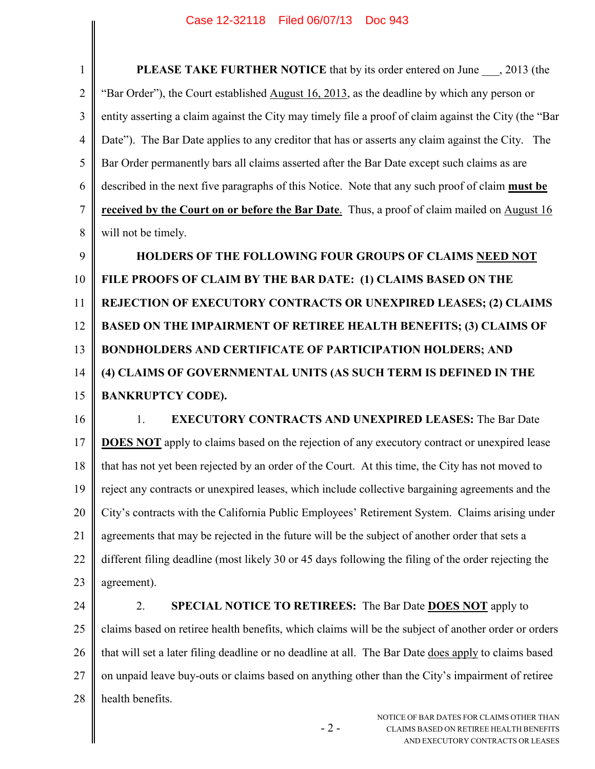1 2 3 4 5 6 7 8 9 10 11 12 13 14 15 16 17 18 19 20 21 22 23 24 25 26 **PLEASE TAKE FURTHER NOTICE** that by its order entered on June \_\_\_, 2013 (the "Bar Order"), the Court established August 16, 2013, as the deadline by which any person or entity asserting a claim against the City may timely file a proof of claim against the City (the "Bar Date"). The Bar Date applies to any creditor that has or asserts any claim against the City. The Bar Order permanently bars all claims asserted after the Bar Date except such claims as are described in the next five paragraphs of this Notice. Note that any such proof of claim **must be received by the Court on or before the Bar Date**. Thus, a proof of claim mailed on August 16 will not be timely. **HOLDERS OF THE FOLLOWING FOUR GROUPS OF CLAIMS NEED NOT FILE PROOFS OF CLAIM BY THE BAR DATE: (1) CLAIMS BASED ON THE REJECTION OF EXECUTORY CONTRACTS OR UNEXPIRED LEASES; (2) CLAIMS BASED ON THE IMPAIRMENT OF RETIREE HEALTH BENEFITS; (3) CLAIMS OF BONDHOLDERS AND CERTIFICATE OF PARTICIPATION HOLDERS; AND (4) CLAIMS OF GOVERNMENTAL UNITS (AS SUCH TERM IS DEFINED IN THE BANKRUPTCY CODE).** 1. **EXECUTORY CONTRACTS AND UNEXPIRED LEASES:** The Bar Date **DOES NOT** apply to claims based on the rejection of any executory contract or unexpired lease that has not yet been rejected by an order of the Court. At this time, the City has not moved to reject any contracts or unexpired leases, which include collective bargaining agreements and the City's contracts with the California Public Employees' Retirement System. Claims arising under agreements that may be rejected in the future will be the subject of another order that sets a different filing deadline (most likely 30 or 45 days following the filing of the order rejecting the agreement). 2. **SPECIAL NOTICE TO RETIREES:** The Bar Date **DOES NOT** apply to claims based on retiree health benefits, which claims will be the subject of another order or orders that will set a later filing deadline or no deadline at all. The Bar Date does apply to claims based

- 27 on unpaid leave buy-outs or claims based on anything other than the City's impairment of retiree
- 28 health benefits.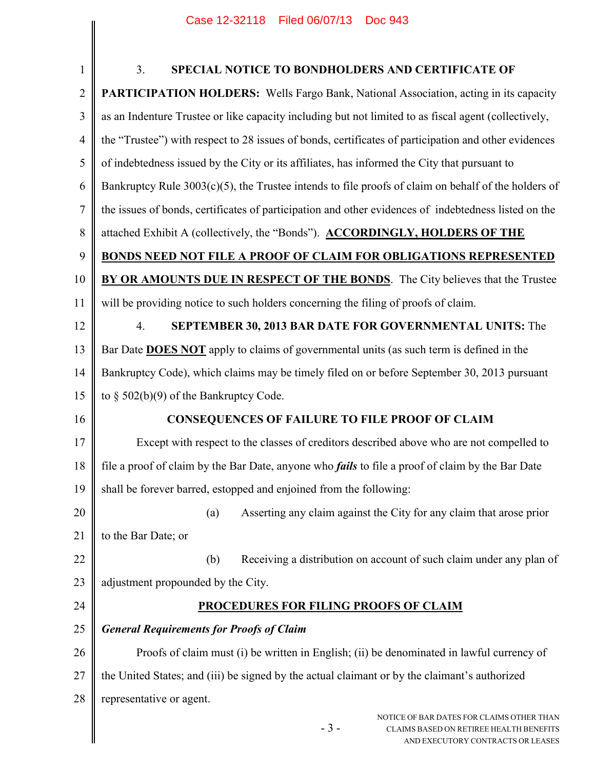|                | Case IZ-32118 Filed 00/07/13 DOC 943                                                                                               |
|----------------|------------------------------------------------------------------------------------------------------------------------------------|
| $\mathbf{1}$   | SPECIAL NOTICE TO BONDHOLDERS AND CERTIFICATE OF<br>3.                                                                             |
| $\overline{2}$ | <b>PARTICIPATION HOLDERS:</b> Wells Fargo Bank, National Association, acting in its capacity                                       |
| 3              | as an Indenture Trustee or like capacity including but not limited to as fiscal agent (collectively,                               |
| $\overline{4}$ | the "Trustee") with respect to 28 issues of bonds, certificates of participation and other evidences                               |
| 5              | of indebtedness issued by the City or its affiliates, has informed the City that pursuant to                                       |
| 6              | Bankruptcy Rule $3003(c)(5)$ , the Trustee intends to file proofs of claim on behalf of the holders of                             |
| 7              | the issues of bonds, certificates of participation and other evidences of indebtedness listed on the                               |
| 8              | attached Exhibit A (collectively, the "Bonds"). ACCORDINGLY, HOLDERS OF THE                                                        |
| 9              | <b>BONDS NEED NOT FILE A PROOF OF CLAIM FOR OBLIGATIONS REPRESENTED</b>                                                            |
| 10             | BY OR AMOUNTS DUE IN RESPECT OF THE BONDS. The City believes that the Trustee                                                      |
| 11             | will be providing notice to such holders concerning the filing of proofs of claim.                                                 |
| 12             | SEPTEMBER 30, 2013 BAR DATE FOR GOVERNMENTAL UNITS: The<br>4.                                                                      |
| 13             | Bar Date <b>DOES NOT</b> apply to claims of governmental units (as such term is defined in the                                     |
| 14             | Bankruptcy Code), which claims may be timely filed on or before September 30, 2013 pursuant                                        |
| 15             | to $\S$ 502(b)(9) of the Bankruptcy Code.                                                                                          |
| 16             | <b>CONSEQUENCES OF FAILURE TO FILE PROOF OF CLAIM</b>                                                                              |
| 17             | Except with respect to the classes of creditors described above who are not compelled to                                           |
| 18             | file a proof of claim by the Bar Date, anyone who <i>fails</i> to file a proof of claim by the Bar Date                            |
| 19             | shall be forever barred, estopped and enjoined from the following:                                                                 |
| 20             | Asserting any claim against the City for any claim that arose prior<br>(a)                                                         |
| 21             | to the Bar Date; or                                                                                                                |
| 22             | Receiving a distribution on account of such claim under any plan of<br>(b)                                                         |
| 23             | adjustment propounded by the City.                                                                                                 |
| 24             | <b>PROCEDURES FOR FILING PROOFS OF CLAIM</b>                                                                                       |
| 25             | <b>General Requirements for Proofs of Claim</b>                                                                                    |
| 26             | Proofs of claim must (i) be written in English; (ii) be denominated in lawful currency of                                          |
| 27             | the United States; and (iii) be signed by the actual claimant or by the claimant's authorized                                      |
| 28             | representative or agent.                                                                                                           |
|                | NOTICE OF BAR DATES FOR CLAIMS OTHER THAN<br>$-3-$<br>CLAIMS BASED ON RETIREE HEALTH BENEFITS<br>AND EXECUTORY CONTRACTS OR LEASES |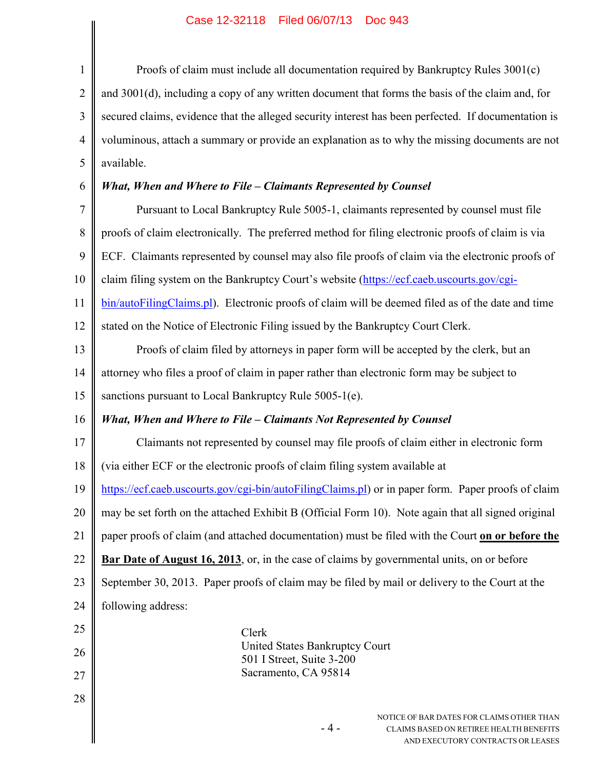# Case 12-32118 Filed 06/07/13 Doc 943

| $\mathbf{1}$   | Proofs of claim must include all documentation required by Bankruptcy Rules 3001(c)                                                |
|----------------|------------------------------------------------------------------------------------------------------------------------------------|
| $\overline{2}$ | and 3001(d), including a copy of any written document that forms the basis of the claim and, for                                   |
| 3              | secured claims, evidence that the alleged security interest has been perfected. If documentation is                                |
| $\overline{4}$ | voluminous, attach a summary or provide an explanation as to why the missing documents are not                                     |
| 5              | available.                                                                                                                         |
| 6              | What, When and Where to File - Claimants Represented by Counsel                                                                    |
| 7              | Pursuant to Local Bankruptcy Rule 5005-1, claimants represented by counsel must file                                               |
| 8              | proofs of claim electronically. The preferred method for filing electronic proofs of claim is via                                  |
| 9              | ECF. Claimants represented by counsel may also file proofs of claim via the electronic proofs of                                   |
| 10             | claim filing system on the Bankruptcy Court's website (https://ecf.caeb.uscourts.gov/cgi-                                          |
| 11             | bin/autoFilingClaims.pl). Electronic proofs of claim will be deemed filed as of the date and time                                  |
| 12             | stated on the Notice of Electronic Filing issued by the Bankruptcy Court Clerk.                                                    |
| 13             | Proofs of claim filed by attorneys in paper form will be accepted by the clerk, but an                                             |
| 14             | attorney who files a proof of claim in paper rather than electronic form may be subject to                                         |
| 15             | sanctions pursuant to Local Bankruptcy Rule 5005-1(e).                                                                             |
| 16             | What, When and Where to File - Claimants Not Represented by Counsel                                                                |
| 17             | Claimants not represented by counsel may file proofs of claim either in electronic form                                            |
| 18             | (via either ECF or the electronic proofs of claim filing system available at                                                       |
| 19             | https://ecf.caeb.uscourts.gov/cgi-bin/autoFilingClaims.pl) or in paper form. Paper proofs of claim                                 |
| 20             | may be set forth on the attached Exhibit B (Official Form 10). Note again that all signed original                                 |
| 21             | paper proofs of claim (and attached documentation) must be filed with the Court on or before the                                   |
| 22             | Bar Date of August 16, 2013, or, in the case of claims by governmental units, on or before                                         |
| 23             | September 30, 2013. Paper proofs of claim may be filed by mail or delivery to the Court at the                                     |
| 24             | following address:                                                                                                                 |
| 25             | Clerk                                                                                                                              |
| 26             | United States Bankruptcy Court<br>501 I Street, Suite 3-200                                                                        |
| 27             | Sacramento, CA 95814                                                                                                               |
| 28             |                                                                                                                                    |
|                | NOTICE OF BAR DATES FOR CLAIMS OTHER THAN<br>$-4-$<br>CLAIMS BASED ON RETIREE HEALTH BENEFITS<br>AND EXECUTORY CONTRACTS OR LEASES |

AND EXECUTORY CONTRACTS OR LEASES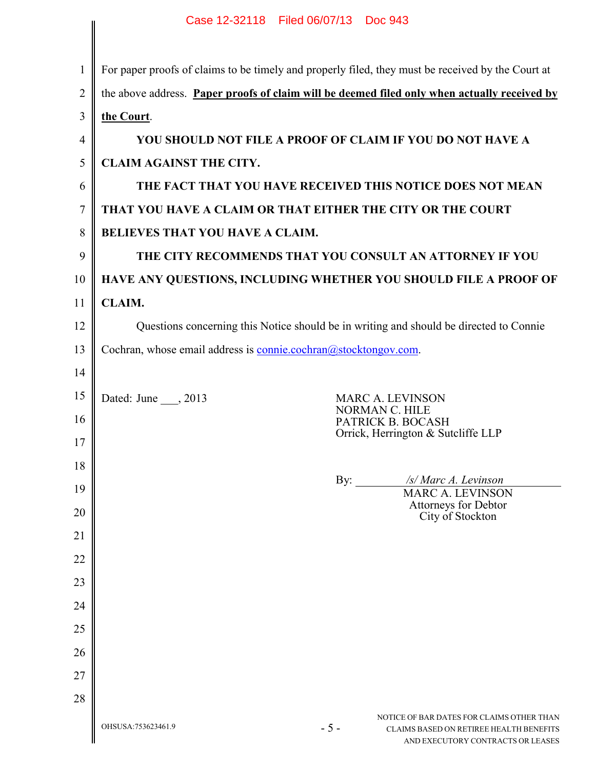|                | Case 12-32118 Filed 06/07/13 Doc 943                                                                                                                     |  |  |
|----------------|----------------------------------------------------------------------------------------------------------------------------------------------------------|--|--|
|                |                                                                                                                                                          |  |  |
| 1              | For paper proofs of claims to be timely and properly filed, they must be received by the Court at                                                        |  |  |
| $\overline{2}$ | the above address. Paper proofs of claim will be deemed filed only when actually received by                                                             |  |  |
| 3              | the Court.                                                                                                                                               |  |  |
| $\overline{4}$ | YOU SHOULD NOT FILE A PROOF OF CLAIM IF YOU DO NOT HAVE A                                                                                                |  |  |
| 5              | <b>CLAIM AGAINST THE CITY.</b>                                                                                                                           |  |  |
| 6              | THE FACT THAT YOU HAVE RECEIVED THIS NOTICE DOES NOT MEAN                                                                                                |  |  |
| $\overline{7}$ | THAT YOU HAVE A CLAIM OR THAT EITHER THE CITY OR THE COURT                                                                                               |  |  |
| 8              | <b>BELIEVES THAT YOU HAVE A CLAIM.</b>                                                                                                                   |  |  |
| 9              | THE CITY RECOMMENDS THAT YOU CONSULT AN ATTORNEY IF YOU                                                                                                  |  |  |
| 10             | HAVE ANY QUESTIONS, INCLUDING WHETHER YOU SHOULD FILE A PROOF OF                                                                                         |  |  |
| 11             | <b>CLAIM.</b>                                                                                                                                            |  |  |
| 12             | Questions concerning this Notice should be in writing and should be directed to Connie                                                                   |  |  |
| 13             | Cochran, whose email address is connie.cochran@stocktongov.com.                                                                                          |  |  |
| 14             |                                                                                                                                                          |  |  |
| 15             | Dated: June ____, 2013<br><b>MARC A. LEVINSON</b><br><b>NORMAN C. HILE</b>                                                                               |  |  |
| 16             | PATRICK B. BOCASH<br>Orrick, Herrington & Sutcliffe LLP                                                                                                  |  |  |
| 17             |                                                                                                                                                          |  |  |
| 18             | /s/ Marc A. Levinson<br>By: $\qquad \qquad$                                                                                                              |  |  |
| 19             | <b>MARC A. LEVINSON</b><br>Attorneys for Debtor                                                                                                          |  |  |
| 20             | City of Stockton                                                                                                                                         |  |  |
| 21             |                                                                                                                                                          |  |  |
| 22             |                                                                                                                                                          |  |  |
| 23             |                                                                                                                                                          |  |  |
| 24             |                                                                                                                                                          |  |  |
| 25             |                                                                                                                                                          |  |  |
| 26             |                                                                                                                                                          |  |  |
| 27             |                                                                                                                                                          |  |  |
| 28             | NOTICE OF BAR DATES FOR CLAIMS OTHER THAN<br>OHSUSA:753623461.9<br>$-5-$<br>CLAIMS BASED ON RETIREE HEALTH BENEFITS<br>AND EXECUTORY CONTRACTS OR LEASES |  |  |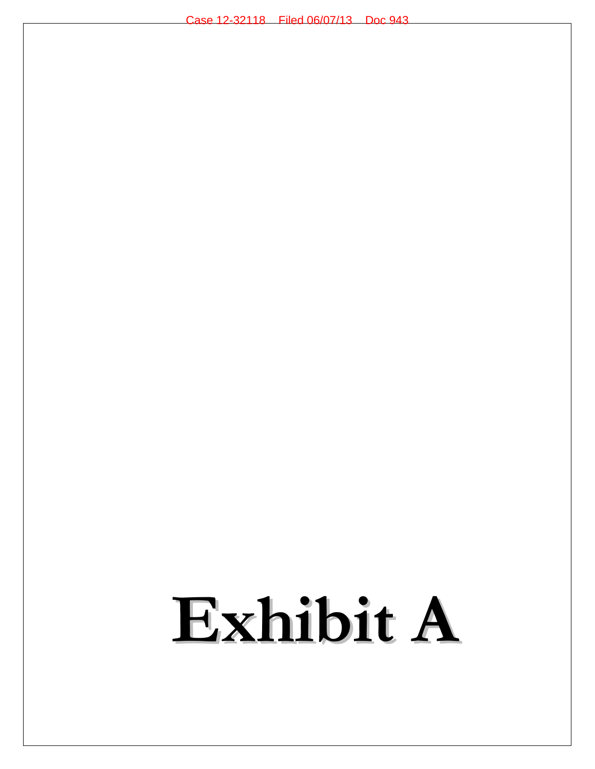# **Exhibit A**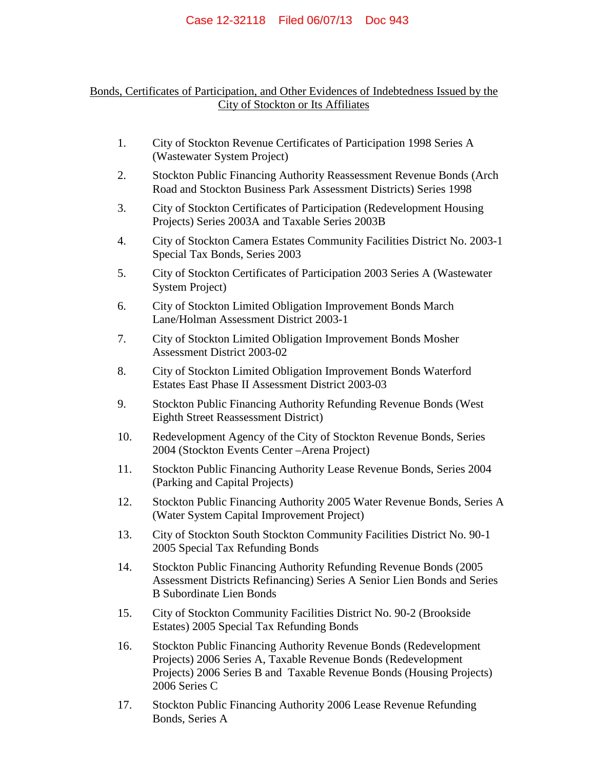# Bonds, Certificates of Participation, and Other Evidences of Indebtedness Issued by the City of Stockton or Its Affiliates

- 1. City of Stockton Revenue Certificates of Participation 1998 Series A (Wastewater System Project)
- 2. Stockton Public Financing Authority Reassessment Revenue Bonds (Arch Road and Stockton Business Park Assessment Districts) Series 1998
- 3. City of Stockton Certificates of Participation (Redevelopment Housing Projects) Series 2003A and Taxable Series 2003B
- 4. City of Stockton Camera Estates Community Facilities District No. 2003-1 Special Tax Bonds, Series 2003
- 5. City of Stockton Certificates of Participation 2003 Series A (Wastewater System Project)
- 6. City of Stockton Limited Obligation Improvement Bonds March Lane/Holman Assessment District 2003-1
- 7. City of Stockton Limited Obligation Improvement Bonds Mosher Assessment District 2003-02
- 8. City of Stockton Limited Obligation Improvement Bonds Waterford Estates East Phase II Assessment District 2003-03
- 9. Stockton Public Financing Authority Refunding Revenue Bonds (West Eighth Street Reassessment District)
- 10. Redevelopment Agency of the City of Stockton Revenue Bonds, Series 2004 (Stockton Events Center –Arena Project)
- 11. Stockton Public Financing Authority Lease Revenue Bonds, Series 2004 (Parking and Capital Projects)
- 12. Stockton Public Financing Authority 2005 Water Revenue Bonds, Series A (Water System Capital Improvement Project)
- 13. City of Stockton South Stockton Community Facilities District No. 90-1 2005 Special Tax Refunding Bonds
- 14. Stockton Public Financing Authority Refunding Revenue Bonds (2005 Assessment Districts Refinancing) Series A Senior Lien Bonds and Series B Subordinate Lien Bonds
- 15. City of Stockton Community Facilities District No. 90-2 (Brookside Estates) 2005 Special Tax Refunding Bonds
- 16. Stockton Public Financing Authority Revenue Bonds (Redevelopment Projects) 2006 Series A, Taxable Revenue Bonds (Redevelopment Projects) 2006 Series B and Taxable Revenue Bonds (Housing Projects) 2006 Series C
- 17. Stockton Public Financing Authority 2006 Lease Revenue Refunding Bonds, Series A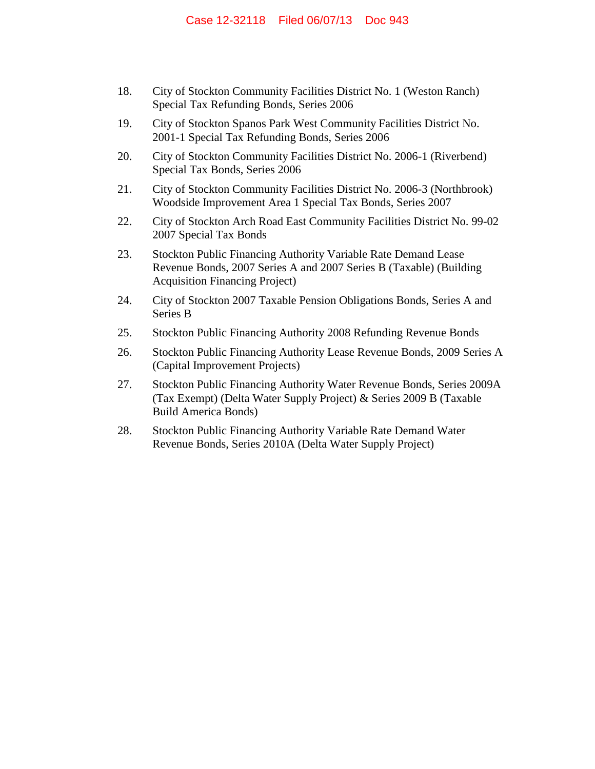- 18. City of Stockton Community Facilities District No. 1 (Weston Ranch) Special Tax Refunding Bonds, Series 2006
- 19. City of Stockton Spanos Park West Community Facilities District No. 2001-1 Special Tax Refunding Bonds, Series 2006
- 20. City of Stockton Community Facilities District No. 2006-1 (Riverbend) Special Tax Bonds, Series 2006
- 21. City of Stockton Community Facilities District No. 2006-3 (Northbrook) Woodside Improvement Area 1 Special Tax Bonds, Series 2007
- 22. City of Stockton Arch Road East Community Facilities District No. 99-02 2007 Special Tax Bonds
- 23. Stockton Public Financing Authority Variable Rate Demand Lease Revenue Bonds, 2007 Series A and 2007 Series B (Taxable) (Building Acquisition Financing Project)
- 24. City of Stockton 2007 Taxable Pension Obligations Bonds, Series A and Series B
- 25. Stockton Public Financing Authority 2008 Refunding Revenue Bonds
- 26. Stockton Public Financing Authority Lease Revenue Bonds, 2009 Series A (Capital Improvement Projects)
- 27. Stockton Public Financing Authority Water Revenue Bonds, Series 2009A (Tax Exempt) (Delta Water Supply Project) & Series 2009 B (Taxable Build America Bonds)
- 28. Stockton Public Financing Authority Variable Rate Demand Water Revenue Bonds, Series 2010A (Delta Water Supply Project)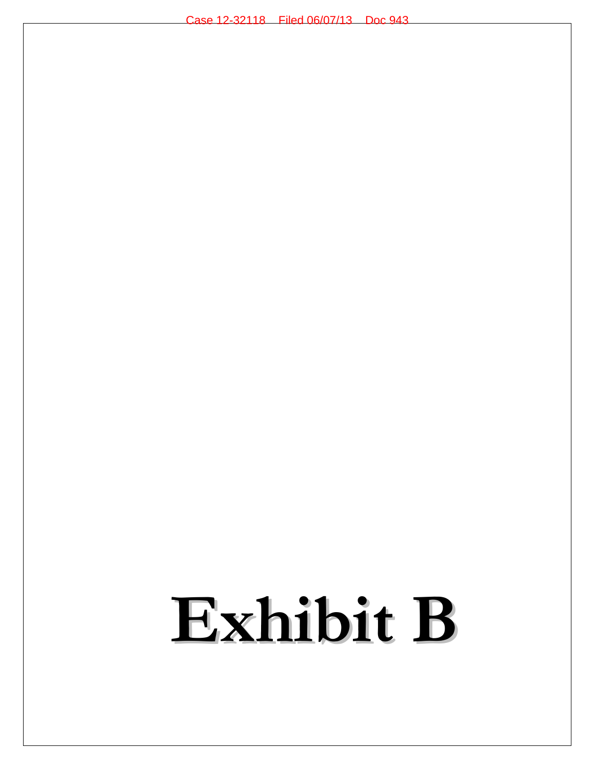# **Exhibit B**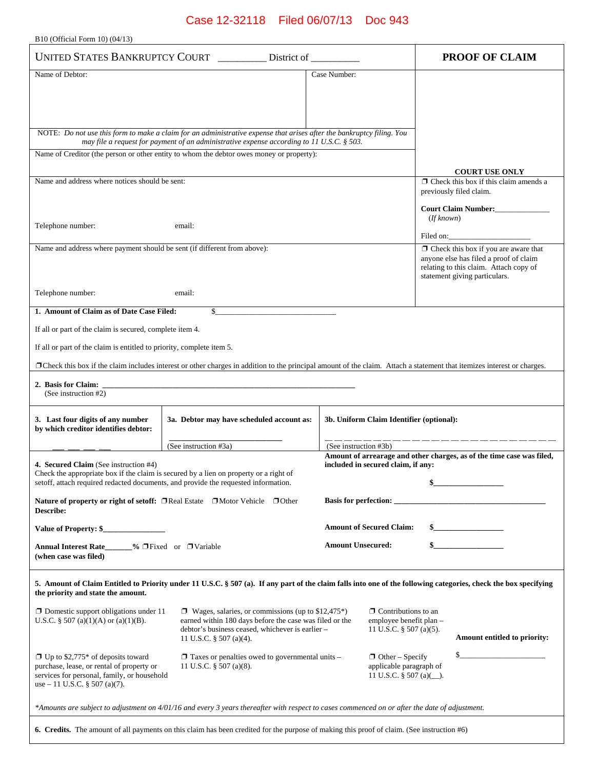# Case 12-32118 Filed 06/07/13 Doc 943

B10 (Official Form 10) (04/13)

| UNITED STATES BANKRUPTCY COURT                                                                                                                                         |                                                                                                                                                                                                                    |                                                                                     | <b>PROOF OF CLAIM</b>                                                                                                                                            |
|------------------------------------------------------------------------------------------------------------------------------------------------------------------------|--------------------------------------------------------------------------------------------------------------------------------------------------------------------------------------------------------------------|-------------------------------------------------------------------------------------|------------------------------------------------------------------------------------------------------------------------------------------------------------------|
| Name of Debtor:                                                                                                                                                        |                                                                                                                                                                                                                    | Case Number:                                                                        |                                                                                                                                                                  |
|                                                                                                                                                                        |                                                                                                                                                                                                                    |                                                                                     |                                                                                                                                                                  |
|                                                                                                                                                                        |                                                                                                                                                                                                                    |                                                                                     |                                                                                                                                                                  |
|                                                                                                                                                                        | NOTE: Do not use this form to make a claim for an administrative expense that arises after the bankruptcy filing. You<br>may file a request for payment of an administrative expense according to 11 U.S.C. § 503. |                                                                                     |                                                                                                                                                                  |
|                                                                                                                                                                        | Name of Creditor (the person or other entity to whom the debtor owes money or property):                                                                                                                           |                                                                                     |                                                                                                                                                                  |
| Name and address where notices should be sent:                                                                                                                         |                                                                                                                                                                                                                    |                                                                                     | <b>COURT USE ONLY</b><br>$\Box$ Check this box if this claim amends a                                                                                            |
|                                                                                                                                                                        |                                                                                                                                                                                                                    |                                                                                     | previously filed claim.                                                                                                                                          |
|                                                                                                                                                                        | email:                                                                                                                                                                                                             |                                                                                     | Court Claim Number:<br>(If known)                                                                                                                                |
| Telephone number:                                                                                                                                                      |                                                                                                                                                                                                                    |                                                                                     | Filed on:                                                                                                                                                        |
| Name and address where payment should be sent (if different from above):                                                                                               |                                                                                                                                                                                                                    |                                                                                     | $\Box$ Check this box if you are aware that<br>anyone else has filed a proof of claim<br>relating to this claim. Attach copy of<br>statement giving particulars. |
| Telephone number:                                                                                                                                                      | email:                                                                                                                                                                                                             |                                                                                     |                                                                                                                                                                  |
| 1. Amount of Claim as of Date Case Filed:                                                                                                                              |                                                                                                                                                                                                                    |                                                                                     |                                                                                                                                                                  |
| If all or part of the claim is secured, complete item 4.                                                                                                               |                                                                                                                                                                                                                    |                                                                                     |                                                                                                                                                                  |
| If all or part of the claim is entitled to priority, complete item 5.                                                                                                  |                                                                                                                                                                                                                    |                                                                                     |                                                                                                                                                                  |
|                                                                                                                                                                        | □ Check this box if the claim includes interest or other charges in addition to the principal amount of the claim. Attach a statement that itemizes interest or charges.                                           |                                                                                     |                                                                                                                                                                  |
| 2. Basis for Claim: __<br>(See instruction #2)                                                                                                                         |                                                                                                                                                                                                                    |                                                                                     |                                                                                                                                                                  |
| 3. Last four digits of any number<br>by which creditor identifies debtor:                                                                                              | 3a. Debtor may have scheduled account as:                                                                                                                                                                          | 3b. Uniform Claim Identifier (optional):                                            |                                                                                                                                                                  |
|                                                                                                                                                                        | (See instruction #3a)                                                                                                                                                                                              | (See instruction #3b)                                                               |                                                                                                                                                                  |
| 4. Secured Claim (See instruction #4)                                                                                                                                  | Check the appropriate box if the claim is secured by a lien on property or a right of                                                                                                                              | included in secured claim, if any:                                                  | Amount of arrearage and other charges, as of the time case was filed,                                                                                            |
|                                                                                                                                                                        | setoff, attach required redacted documents, and provide the requested information.                                                                                                                                 |                                                                                     |                                                                                                                                                                  |
| Describe:                                                                                                                                                              | <b>Nature of property or right of setoff:</b> $\Box$ Real Estate $\Box$ Motor Vehicle $\Box$ Other                                                                                                                 |                                                                                     |                                                                                                                                                                  |
| Value of Property: \$                                                                                                                                                  |                                                                                                                                                                                                                    | <b>Amount of Secured Claim:</b>                                                     |                                                                                                                                                                  |
| Annual Interest Rate_____% □Fixed or □Variable<br>(when case was filed)                                                                                                |                                                                                                                                                                                                                    | <b>Amount Unsecured:</b>                                                            | $\sim$                                                                                                                                                           |
| the priority and state the amount.                                                                                                                                     | 5. Amount of Claim Entitled to Priority under 11 U.S.C. § 507 (a). If any part of the claim falls into one of the following categories, check the box specifying                                                   |                                                                                     |                                                                                                                                                                  |
| $\Box$ Domestic support obligations under 11<br>U.S.C. § 507 (a)(1)(A) or (a)(1)(B).                                                                                   | $\Box$ Wages, salaries, or commissions (up to \$12,475*)<br>earned within 180 days before the case was filed or the<br>debtor's business ceased, whichever is earlier -<br>11 U.S.C. $\S$ 507 (a)(4).              | $\Box$ Contributions to an<br>employee benefit plan -<br>11 U.S.C. $\S$ 507 (a)(5). | Amount entitled to priority:                                                                                                                                     |
| $\Box$ Up to \$2,775* of deposits toward<br>purchase, lease, or rental of property or<br>services for personal, family, or household<br>use $-11$ U.S.C. § 507 (a)(7). | $\Box$ Taxes or penalties owed to governmental units –<br>11 U.S.C. $\S$ 507 (a)(8).                                                                                                                               | $\Box$ Other – Specify<br>applicable paragraph of<br>11 U.S.C. $\S$ 507 (a)(_).     |                                                                                                                                                                  |
|                                                                                                                                                                        | *Amounts are subject to adjustment on 4/01/16 and every 3 years thereafter with respect to cases commenced on or after the date of adjustment.                                                                     |                                                                                     |                                                                                                                                                                  |
|                                                                                                                                                                        | 6. Credits. The amount of all payments on this claim has been credited for the purpose of making this proof of claim. (See instruction #6)                                                                         |                                                                                     |                                                                                                                                                                  |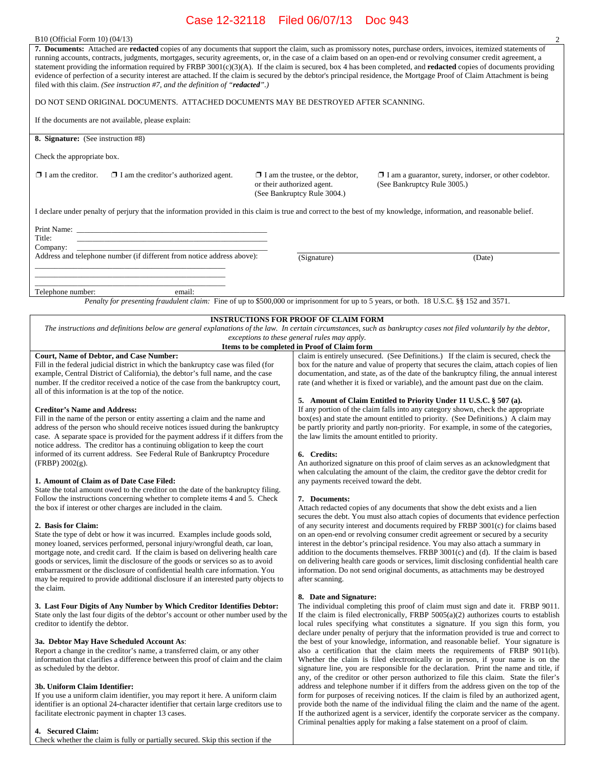Case 12-32118 Filed 06/07/13 Doc 943

| B10 (Official Form 10) (04/13) |
|--------------------------------|
|--------------------------------|

| 7. Documents: Attached are redacted copies of any documents that support the claim, such as promissory notes, purchase orders, invoices, itemized statements of<br>running accounts, contracts, judgments, mortgages, security agreements, or, in the case of a claim based on an open-end or revolving consumer credit agreement, a<br>statement providing the information required by FRBP $3001(c)(3)(A)$ . If the claim is secured, box 4 has been completed, and redacted copies of documents providing<br>evidence of perfection of a security interest are attached. If the claim is secured by the debtor's principal residence, the Mortgage Proof of Claim Attachment is being<br>filed with this claim. (See instruction #7, and the definition of "redacted".) |                                                                                                      |                                                                                              |
|----------------------------------------------------------------------------------------------------------------------------------------------------------------------------------------------------------------------------------------------------------------------------------------------------------------------------------------------------------------------------------------------------------------------------------------------------------------------------------------------------------------------------------------------------------------------------------------------------------------------------------------------------------------------------------------------------------------------------------------------------------------------------|------------------------------------------------------------------------------------------------------|----------------------------------------------------------------------------------------------|
| DO NOT SEND ORIGINAL DOCUMENTS. ATTACHED DOCUMENTS MAY BE DESTROYED AFTER SCANNING.                                                                                                                                                                                                                                                                                                                                                                                                                                                                                                                                                                                                                                                                                        |                                                                                                      |                                                                                              |
| If the documents are not available, please explain:                                                                                                                                                                                                                                                                                                                                                                                                                                                                                                                                                                                                                                                                                                                        |                                                                                                      |                                                                                              |
| <b>8. Signature:</b> (See instruction #8)                                                                                                                                                                                                                                                                                                                                                                                                                                                                                                                                                                                                                                                                                                                                  |                                                                                                      |                                                                                              |
| Check the appropriate box.                                                                                                                                                                                                                                                                                                                                                                                                                                                                                                                                                                                                                                                                                                                                                 |                                                                                                      |                                                                                              |
| $\Box$ I am the creditor.<br>$\Box$ I am the creditor's authorized agent.                                                                                                                                                                                                                                                                                                                                                                                                                                                                                                                                                                                                                                                                                                  | $\Box$ I am the trustee, or the debtor,<br>or their authorized agent.<br>(See Bankruptcy Rule 3004.) | $\Box$ I am a guarantor, surety, indorser, or other codebtor.<br>(See Bankruptcy Rule 3005.) |
| I declare under penalty of perjury that the information provided in this claim is true and correct to the best of my knowledge, information, and reasonable belief.                                                                                                                                                                                                                                                                                                                                                                                                                                                                                                                                                                                                        |                                                                                                      |                                                                                              |
| Title:<br>the control of the control of the control of the control of the control of the control of<br>Company:                                                                                                                                                                                                                                                                                                                                                                                                                                                                                                                                                                                                                                                            |                                                                                                      |                                                                                              |
| Address and telephone number (if different from notice address above):                                                                                                                                                                                                                                                                                                                                                                                                                                                                                                                                                                                                                                                                                                     | (Signature)                                                                                          | (Date)                                                                                       |
|                                                                                                                                                                                                                                                                                                                                                                                                                                                                                                                                                                                                                                                                                                                                                                            |                                                                                                      |                                                                                              |
| Telephone number:<br>email:                                                                                                                                                                                                                                                                                                                                                                                                                                                                                                                                                                                                                                                                                                                                                |                                                                                                      |                                                                                              |
| Penalty for presenting fraudulent claim: Fine of up to \$500,000 or imprisonment for up to 5 years, or both. 18 U.S.C. §§ 152 and 3571.                                                                                                                                                                                                                                                                                                                                                                                                                                                                                                                                                                                                                                    |                                                                                                      |                                                                                              |
| The instructions and definitions below are general explanations of the law. In certain circumstances, such as bankruptcy cases not filed voluntarily by the debtor,                                                                                                                                                                                                                                                                                                                                                                                                                                                                                                                                                                                                        | <b>INSTRUCTIONS FOR PROOF OF CLAIM FORM</b><br>executions to those general rules may apply           |                                                                                              |

*exceptions to these general rules may apply.*  **Items to be completed in Proof of Claim form** 

# **Court, Name of Debtor, and Case Number:**

Fill in the federal judicial district in which the bankruptcy case was filed (for example, Central District of California), the debtor's full name, and the case number. If the creditor received a notice of the case from the bankruptcy court, all of this information is at the top of the notice.

# **Creditor's Name and Address:**

Fill in the name of the person or entity asserting a claim and the name and address of the person who should receive notices issued during the bankruptcy case. A separate space is provided for the payment address if it differs from the notice address. The creditor has a continuing obligation to keep the court informed of its current address. See Federal Rule of Bankruptcy Procedure (FRBP) 2002(g).

# **1. Amount of Claim as of Date Case Filed:**

State the total amount owed to the creditor on the date of the bankruptcy filing. Follow the instructions concerning whether to complete items 4 and 5. Check the box if interest or other charges are included in the claim.

## **2. Basis for Claim:**

State the type of debt or how it was incurred. Examples include goods sold, money loaned, services performed, personal injury/wrongful death, car loan, mortgage note, and credit card. If the claim is based on delivering health care goods or services, limit the disclosure of the goods or services so as to avoid embarrassment or the disclosure of confidential health care information. You may be required to provide additional disclosure if an interested party objects to the claim.

# **3. Last Four Digits of Any Number by Which Creditor Identifies Debtor:**

State only the last four digits of the debtor's account or other number used by the creditor to identify the debtor.

## **3a. Debtor May Have Scheduled Account As**:

Report a change in the creditor's name, a transferred claim, or any other information that clarifies a difference between this proof of claim and the claim as scheduled by the debtor.

# **3b. Uniform Claim Identifier:**

If you use a uniform claim identifier, you may report it here. A uniform claim identifier is an optional 24-character identifier that certain large creditors use to facilitate electronic payment in chapter 13 cases.

# **4. Secured Claim:**

Check whether the claim is fully or partially secured. Skip this section if the

claim is entirely unsecured. (See Definitions.) If the claim is secured, check the box for the nature and value of property that secures the claim, attach copies of lien documentation, and state, as of the date of the bankruptcy filing, the annual interest rate (and whether it is fixed or variable), and the amount past due on the claim.

# **5. Amount of Claim Entitled to Priority Under 11 U.S.C. § 507 (a).**

If any portion of the claim falls into any category shown, check the appropriate box(es) and state the amount entitled to priority. (See Definitions*.*) A claim may be partly priority and partly non-priority. For example, in some of the categories, the law limits the amount entitled to priority.

# **6. Credits:**

An authorized signature on this proof of claim serves as an acknowledgment that when calculating the amount of the claim, the creditor gave the debtor credit for any payments received toward the debt.

# **7. Documents:**

Attach redacted copies of any documents that show the debt exists and a lien secures the debt. You must also attach copies of documents that evidence perfection of any security interest and documents required by FRBP 3001(c) for claims based on an open-end or revolving consumer credit agreement or secured by a security interest in the debtor's principal residence. You may also attach a summary in addition to the documents themselves. FRBP 3001(c) and (d). If the claim is based on delivering health care goods or services, limit disclosing confidential health care information. Do not send original documents, as attachments may be destroyed after scanning.

# **8. Date and Signature:**

The individual completing this proof of claim must sign and date it. FRBP 9011. If the claim is filed electronically, FRBP 5005(a)(2) authorizes courts to establish local rules specifying what constitutes a signature. If you sign this form, you declare under penalty of perjury that the information provided is true and correct to the best of your knowledge, information, and reasonable belief. Your signature is also a certification that the claim meets the requirements of FRBP 9011(b). Whether the claim is filed electronically or in person, if your name is on the signature line, you are responsible for the declaration. Print the name and title, if any, of the creditor or other person authorized to file this claim. State the filer's address and telephone number if it differs from the address given on the top of the form for purposes of receiving notices. If the claim is filed by an authorized agent, provide both the name of the individual filing the claim and the name of the agent. If the authorized agent is a servicer, identify the corporate servicer as the company. Criminal penalties apply for making a false statement on a proof of claim.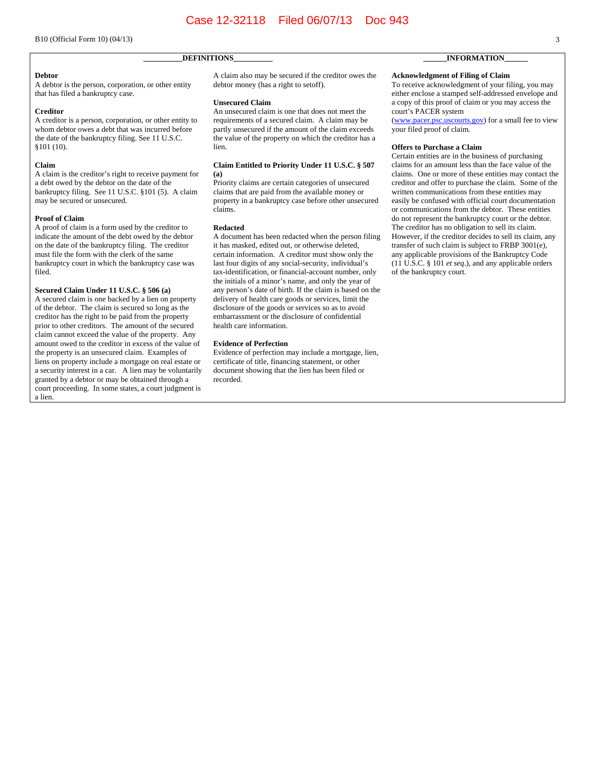# **Debtor**

A debtor is the person, corporation, or other entity that has filed a bankruptcy case.

# **Creditor**

A creditor is a person, corporation, or other entity to whom debtor owes a debt that was incurred before the date of the bankruptcy filing. See 11 U.S.C. §101 (10).

# **Claim**

A claim is the creditor's right to receive payment for a debt owed by the debtor on the date of the bankruptcy filing. See 11 U.S.C. §101 (5). A claim may be secured or unsecured.

# **Proof of Claim**

A proof of claim is a form used by the creditor to indicate the amount of the debt owed by the debtor on the date of the bankruptcy filing. The creditor must file the form with the clerk of the same bankruptcy court in which the bankruptcy case was filed.

# **Secured Claim Under 11 U.S.C. § 506 (a)**

A secured claim is one backed by a lien on property of the debtor. The claim is secured so long as the creditor has the right to be paid from the property prior to other creditors. The amount of the secured claim cannot exceed the value of the property. Any amount owed to the creditor in excess of the value of the property is an unsecured claim. Examples of liens on property include a mortgage on real estate or a security interest in a car. A lien may be voluntarily granted by a debtor or may be obtained through a court proceeding. In some states, a court judgment is a lien.

A claim also may be secured if the creditor owes the debtor money (has a right to setoff).

# **Unsecured Claim**

An unsecured claim is one that does not meet the requirements of a secured claim. A claim may be partly unsecured if the amount of the claim exceeds the value of the property on which the creditor has a lien.

# **Claim Entitled to Priority Under 11 U.S.C. § 507 (a)**

Priority claims are certain categories of unsecured claims that are paid from the available money or property in a bankruptcy case before other unsecured claims.

# **Redacted**

A document has been redacted when the person filing it has masked, edited out, or otherwise deleted, certain information. A creditor must show only the last four digits of any social-security, individual's tax-identification, or financial-account number, only the initials of a minor's name, and only the year of any person's date of birth. If the claim is based on the delivery of health care goods or services, limit the disclosure of the goods or services so as to avoid embarrassment or the disclosure of confidential health care information.

# **Evidence of Perfection**

Evidence of perfection may include a mortgage, lien, certificate of title, financing statement, or other document showing that the lien has been filed or recorded.

# **\_\_\_\_\_\_\_\_\_\_DEFINITIONS\_\_\_\_\_\_\_\_\_\_ \_\_\_\_\_\_INFORMATION\_\_\_\_\_\_**

# **Acknowledgment of Filing of Claim**

To receive acknowledgment of your filing, you may either enclose a stamped self-addressed envelope and a copy of this proof of claim or you may access the court's PACER system

(www.pacer.psc.uscourts.gov) for a small fee to view your filed proof of claim.

# **Offers to Purchase a Claim**

Certain entities are in the business of purchasing claims for an amount less than the face value of the claims. One or more of these entities may contact the creditor and offer to purchase the claim. Some of the written communications from these entities may easily be confused with official court documentation or communications from the debtor. These entities do not represent the bankruptcy court or the debtor. The creditor has no obligation to sell its claim. However, if the creditor decides to sell its claim, any transfer of such claim is subject to FRBP 3001(e), any applicable provisions of the Bankruptcy Code (11 U.S.C. § 101 *et seq*.), and any applicable orders of the bankruptcy court.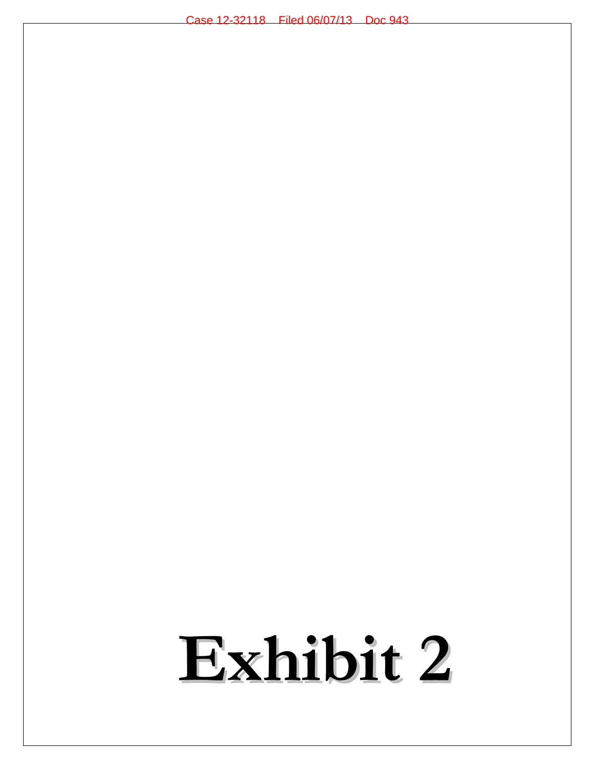# **Exhibit 2**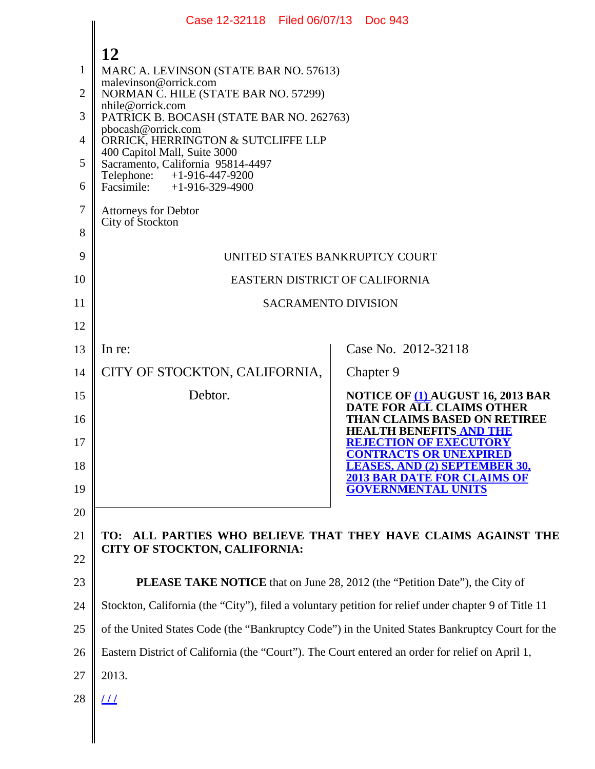|          | Case 12-32118   Filed 06/07/13   Doc 943                                                             |                                                                                                        |
|----------|------------------------------------------------------------------------------------------------------|--------------------------------------------------------------------------------------------------------|
|          | 12                                                                                                   |                                                                                                        |
| 1        | MARC A. LEVINSON (STATE BAR NO. 57613)                                                               |                                                                                                        |
| 2        | malevinson@orrick.com<br>NORMAN C. HILE (STATE BAR NO. 57299)<br>nhile@orrick.com                    |                                                                                                        |
| 3        | PATRICK B. BOCASH (STATE BAR NO. 262763)                                                             |                                                                                                        |
| 4        | pbocash@orrick.com<br>ORRICK, HERRINGTON & SUTCLIFFE LLP                                             |                                                                                                        |
| 5        | 400 Capitol Mall, Suite 3000<br>Sacramento, California 95814-4497                                    |                                                                                                        |
| 6        | Telephone:<br>$+1-916-447-9200$<br>Facsimile: $+1-916-329-4900$                                      |                                                                                                        |
| 7<br>8   | <b>Attorneys for Debtor</b><br>City of Stockton                                                      |                                                                                                        |
|          |                                                                                                      |                                                                                                        |
| 9        | UNITED STATES BANKRUPTCY COURT                                                                       |                                                                                                        |
| 10       | EASTERN DISTRICT OF CALIFORNIA                                                                       |                                                                                                        |
| 11       | <b>SACRAMENTO DIVISION</b>                                                                           |                                                                                                        |
| 12       |                                                                                                      |                                                                                                        |
| 13       | In re:                                                                                               | Case No. 2012-32118                                                                                    |
| 14       | CITY OF STOCKTON, CALIFORNIA,                                                                        | Chapter 9                                                                                              |
| 15       | Debtor.                                                                                              | NOTICE OF (1) AUGUST 16, 2013 BAR<br>DATE FOR ALL CLAIMS OTHER                                         |
| 16<br>17 |                                                                                                      | <b>THAN CLAIMS BASED ON RETIREE</b><br><b>HEALTH BENEFITS AND THE</b><br><b>REJECTION OF EXECUTORY</b> |
| 18       |                                                                                                      | <b>CONTRACTS OR UNEXPIRED</b><br>EASES, AND (2) SEPTEMBER 30,                                          |
| 19       |                                                                                                      | <b>2013 BAR DATE FOR CLAIMS OF</b><br><b>GOVERNMENTAL UNITS</b>                                        |
| 20       |                                                                                                      |                                                                                                        |
| 21       | TO:                                                                                                  | ALL PARTIES WHO BELIEVE THAT THEY HAVE CLAIMS AGAINST THE                                              |
| 22       | <b>CITY OF STOCKTON, CALIFORNIA:</b>                                                                 |                                                                                                        |
| 23       | <b>PLEASE TAKE NOTICE</b> that on June 28, 2012 (the "Petition Date"), the City of                   |                                                                                                        |
| 24       | Stockton, California (the "City"), filed a voluntary petition for relief under chapter 9 of Title 11 |                                                                                                        |
| 25       | of the United States Code (the "Bankruptcy Code") in the United States Bankruptcy Court for the      |                                                                                                        |
| 26       | Eastern District of California (the "Court"). The Court entered an order for relief on April 1,      |                                                                                                        |
| 27       | 2013.                                                                                                |                                                                                                        |
| 28       | $L\overline{L}$                                                                                      |                                                                                                        |
|          |                                                                                                      |                                                                                                        |
|          |                                                                                                      |                                                                                                        |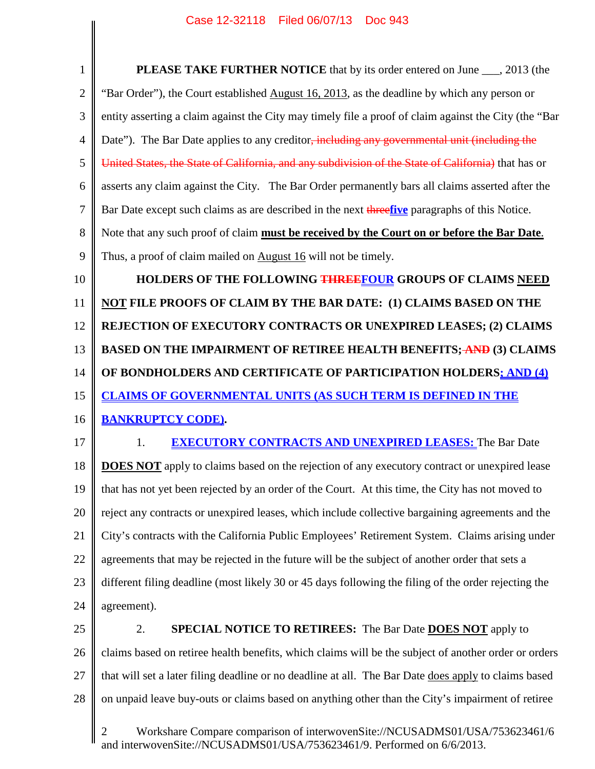|                | Case IZ-32110 Filed 00/07/13 DOC 943                                                                                                                                     |
|----------------|--------------------------------------------------------------------------------------------------------------------------------------------------------------------------|
| $\mathbf{1}$   | <b>PLEASE TAKE FURTHER NOTICE</b> that by its order entered on June ___, 2013 (the                                                                                       |
| $\overline{2}$ | "Bar Order"), the Court established August 16, 2013, as the deadline by which any person or                                                                              |
| 3              | entity asserting a claim against the City may timely file a proof of claim against the City (the "Bar                                                                    |
| $\overline{4}$ | Date"). The Bar Date applies to any creditor, including any governmental unit (including the                                                                             |
| 5              | United States, the State of California, and any subdivision of the State of California) that has or                                                                      |
| 6              | asserts any claim against the City. The Bar Order permanently bars all claims asserted after the                                                                         |
| $\tau$         | Bar Date except such claims as are described in the next threefive paragraphs of this Notice.                                                                            |
| 8              | Note that any such proof of claim must be received by the Court on or before the Bar Date.                                                                               |
| 9              | Thus, a proof of claim mailed on August 16 will not be timely.                                                                                                           |
| 10             | HOLDERS OF THE FOLLOWING THREEFOUR GROUPS OF CLAIMS NEED                                                                                                                 |
| 11             | <b>NOT FILE PROOFS OF CLAIM BY THE BAR DATE: (1) CLAIMS BASED ON THE</b>                                                                                                 |
| 12             | REJECTION OF EXECUTORY CONTRACTS OR UNEXPIRED LEASES; (2) CLAIMS                                                                                                         |
| 13             | <b>BASED ON THE IMPAIRMENT OF RETIREE HEALTH BENEFITS; AND (3) CLAIMS</b>                                                                                                |
| 14             | OF BONDHOLDERS AND CERTIFICATE OF PARTICIPATION HOLDERS; AND (4)                                                                                                         |
| 15             | <b>CLAIMS OF GOVERNMENTAL UNITS (AS SUCH TERM IS DEFINED IN THE</b>                                                                                                      |
| 16             | <b>BANKRUPTCY CODE).</b>                                                                                                                                                 |
| 17             | <b>EXECUTORY CONTRACTS AND UNEXPIRED LEASES:</b> The Bar Date<br>1.                                                                                                      |
| 18             | <b>DOES NOT</b> apply to claims based on the rejection of any executory contract or unexpired lease                                                                      |
| 19             | that has not yet been rejected by an order of the Court. At this time, the City has not moved to                                                                         |
| 20             | reject any contracts or unexpired leases, which include collective bargaining agreements and the                                                                         |
| 21             | City's contracts with the California Public Employees' Retirement System. Claims arising under                                                                           |
| 22             | agreements that may be rejected in the future will be the subject of another order that sets a                                                                           |
| 23             | different filing deadline (most likely 30 or 45 days following the filing of the order rejecting the                                                                     |
| 24             | agreement).                                                                                                                                                              |
| 25             | SPECIAL NOTICE TO RETIREES: The Bar Date <b>DOES NOT</b> apply to<br>2.                                                                                                  |
| 26             | claims based on retiree health benefits, which claims will be the subject of another order or orders                                                                     |
| 27             | that will set a later filing deadline or no deadline at all. The Bar Date does apply to claims based                                                                     |
| 28             | on unpaid leave buy-outs or claims based on anything other than the City's impairment of retiree                                                                         |
|                | Workshare Compare comparison of interwovenSite://NCUSADMS01/USA/753623461/6<br>$\overline{2}$<br>and interwovenSite://NCUSADMS01/USA/753623461/9. Performed on 6/6/2013. |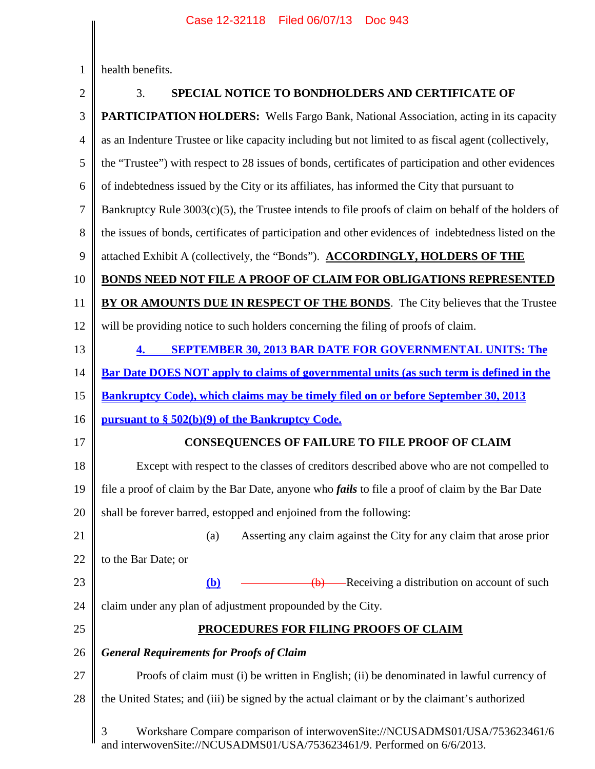1 health benefits.

| $\overline{2}$   | 3.<br>SPECIAL NOTICE TO BONDHOLDERS AND CERTIFICATE OF                                                                                                      |  |
|------------------|-------------------------------------------------------------------------------------------------------------------------------------------------------------|--|
| 3                | <b>PARTICIPATION HOLDERS:</b> Wells Fargo Bank, National Association, acting in its capacity                                                                |  |
| 4                | as an Indenture Trustee or like capacity including but not limited to as fiscal agent (collectively,                                                        |  |
| 5                | the "Trustee") with respect to 28 issues of bonds, certificates of participation and other evidences                                                        |  |
| 6                | of indebtedness issued by the City or its affiliates, has informed the City that pursuant to                                                                |  |
| $\boldsymbol{7}$ | Bankruptcy Rule $3003(c)(5)$ , the Trustee intends to file proofs of claim on behalf of the holders of                                                      |  |
| 8                | the issues of bonds, certificates of participation and other evidences of indebtedness listed on the                                                        |  |
| 9                | attached Exhibit A (collectively, the "Bonds"). ACCORDINGLY, HOLDERS OF THE                                                                                 |  |
| 10               | <b>BONDS NEED NOT FILE A PROOF OF CLAIM FOR OBLIGATIONS REPRESENTED</b>                                                                                     |  |
| 11               | BY OR AMOUNTS DUE IN RESPECT OF THE BONDS. The City believes that the Trustee                                                                               |  |
| 12               | will be providing notice to such holders concerning the filing of proofs of claim.                                                                          |  |
| 13               | <b>SEPTEMBER 30, 2013 BAR DATE FOR GOVERNMENTAL UNITS: The</b><br><u>4.</u>                                                                                 |  |
| 14               | <b>Bar Date DOES NOT apply to claims of governmental units (as such term is defined in the</b>                                                              |  |
| 15               | <b>Bankruptcy Code), which claims may be timely filed on or before September 30, 2013</b>                                                                   |  |
| 16               | pursuant to § 502(b)(9) of the Bankruptcy Code.                                                                                                             |  |
| 17               | <b>CONSEQUENCES OF FAILURE TO FILE PROOF OF CLAIM</b>                                                                                                       |  |
| 18               | Except with respect to the classes of creditors described above who are not compelled to                                                                    |  |
| 19               | file a proof of claim by the Bar Date, anyone who <i>fails</i> to file a proof of claim by the Bar Date                                                     |  |
| 20               | shall be forever barred, estopped and enjoined from the following:                                                                                          |  |
| 21               | Asserting any claim against the City for any claim that arose prior<br>(a)                                                                                  |  |
| 22               | to the Bar Date; or                                                                                                                                         |  |
| 23               | -Receiving a distribution on account of such<br><u>(b)</u><br>$\leftrightarrow$                                                                             |  |
| 24               | claim under any plan of adjustment propounded by the City.                                                                                                  |  |
| 25               | PROCEDURES FOR FILING PROOFS OF CLAIM                                                                                                                       |  |
| 26               | <b>General Requirements for Proofs of Claim</b>                                                                                                             |  |
| 27               | Proofs of claim must (i) be written in English; (ii) be denominated in lawful currency of                                                                   |  |
| 28               | the United States; and (iii) be signed by the actual claimant or by the claimant's authorized                                                               |  |
|                  | 3<br>Workshare Compare comparison of interwovenSite://NCUSADMS01/USA/753623461/6<br>and interwovenSite://NCUSADMS01/USA/753623461/9. Performed on 6/6/2013. |  |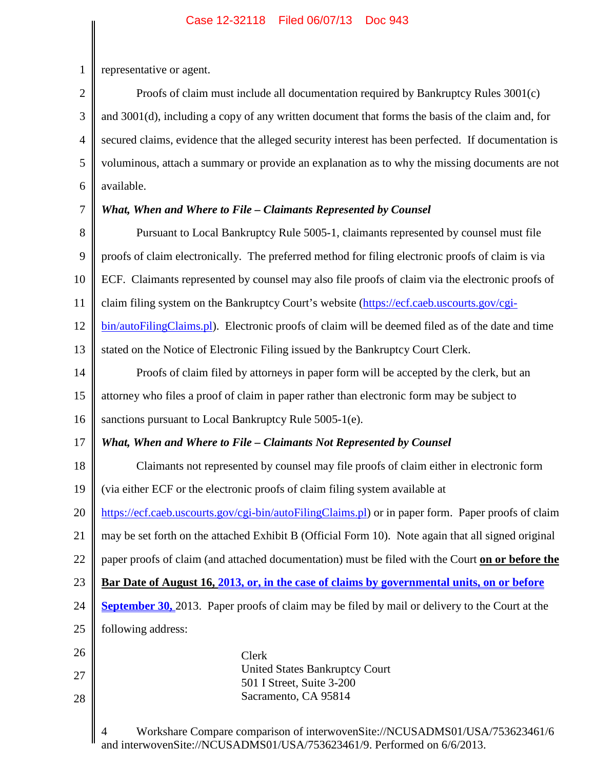1 representative or agent.

2 3 4 5 6 Proofs of claim must include all documentation required by Bankruptcy Rules 3001(c) and 3001(d), including a copy of any written document that forms the basis of the claim and, for secured claims, evidence that the alleged security interest has been perfected. If documentation is voluminous, attach a summary or provide an explanation as to why the missing documents are not available.

## 7 *What, When and Where to File – Claimants Represented by Counsel*

8 9 10 11 12 13 14 15 16 17 18 19 20 21 22 23 24 25 26 27 Pursuant to Local Bankruptcy Rule 5005-1, claimants represented by counsel must file proofs of claim electronically. The preferred method for filing electronic proofs of claim is via ECF. Claimants represented by counsel may also file proofs of claim via the electronic proofs of claim filing system on the Bankruptcy Court's website (https://ecf.caeb.uscourts.gov/cgibin/autoFilingClaims.pl). Electronic proofs of claim will be deemed filed as of the date and time stated on the Notice of Electronic Filing issued by the Bankruptcy Court Clerk. Proofs of claim filed by attorneys in paper form will be accepted by the clerk, but an attorney who files a proof of claim in paper rather than electronic form may be subject to sanctions pursuant to Local Bankruptcy Rule 5005-1(e). *What, When and Where to File – Claimants Not Represented by Counsel* Claimants not represented by counsel may file proofs of claim either in electronic form (via either ECF or the electronic proofs of claim filing system available at https://ecf.caeb.uscourts.gov/cgi-bin/autoFilingClaims.pl) or in paper form. Paper proofs of claim may be set forth on the attached Exhibit B (Official Form 10). Note again that all signed original paper proofs of claim (and attached documentation) must be filed with the Court **on or before the Bar Date of August 16, 2013, or, in the case of claims by governmental units, on or before September 30,** 2013. Paper proofs of claim may be filed by mail or delivery to the Court at the following address: Clerk United States Bankruptcy Court 501 I Street, Suite 3-200

Sacramento, CA 95814

28

4 Workshare Compare comparison of interwovenSite://NCUSADMS01/USA/753623461/6 and interwovenSite://NCUSADMS01/USA/753623461/9. Performed on 6/6/2013.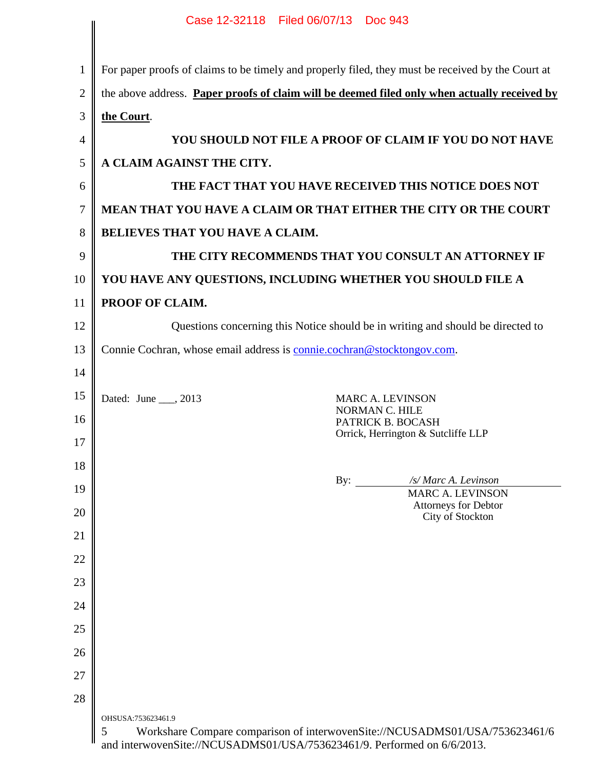|                | Case 12-32118   Filed 06/07/13   Doc 943                                                                                                                                          |  |
|----------------|-----------------------------------------------------------------------------------------------------------------------------------------------------------------------------------|--|
|                |                                                                                                                                                                                   |  |
| $\mathbf{1}$   | For paper proofs of claims to be timely and properly filed, they must be received by the Court at                                                                                 |  |
| $\overline{2}$ | the above address. Paper proofs of claim will be deemed filed only when actually received by                                                                                      |  |
| 3              | the Court.                                                                                                                                                                        |  |
| 4              | YOU SHOULD NOT FILE A PROOF OF CLAIM IF YOU DO NOT HAVE                                                                                                                           |  |
| 5              | A CLAIM AGAINST THE CITY.                                                                                                                                                         |  |
| 6              | THE FACT THAT YOU HAVE RECEIVED THIS NOTICE DOES NOT                                                                                                                              |  |
| 7              | MEAN THAT YOU HAVE A CLAIM OR THAT EITHER THE CITY OR THE COURT                                                                                                                   |  |
| 8              | <b>BELIEVES THAT YOU HAVE A CLAIM.</b>                                                                                                                                            |  |
| 9              | THE CITY RECOMMENDS THAT YOU CONSULT AN ATTORNEY IF                                                                                                                               |  |
| 10             | YOU HAVE ANY QUESTIONS, INCLUDING WHETHER YOU SHOULD FILE A                                                                                                                       |  |
| 11             | PROOF OF CLAIM.                                                                                                                                                                   |  |
| 12             | Questions concerning this Notice should be in writing and should be directed to                                                                                                   |  |
| 13             | Connie Cochran, whose email address is connie.cochran@stocktongov.com.                                                                                                            |  |
| 14             |                                                                                                                                                                                   |  |
| 15             | Dated: June ____, 2013<br><b>MARC A. LEVINSON</b>                                                                                                                                 |  |
| 16             | NORMAN C. HILE<br>PATRICK B. BOCASH                                                                                                                                               |  |
| 17             | Orrick, Herrington & Sutcliffe LLP                                                                                                                                                |  |
| 18             |                                                                                                                                                                                   |  |
| 19             | /s/ Marc A. Levinson<br>$\mathbf{By:}$<br><b>MARC A. LEVINSON</b>                                                                                                                 |  |
| 20             | <b>Attorneys for Debtor</b><br>City of Stockton                                                                                                                                   |  |
| 21             |                                                                                                                                                                                   |  |
| 22             |                                                                                                                                                                                   |  |
| 23             |                                                                                                                                                                                   |  |
| 24             |                                                                                                                                                                                   |  |
| 25             |                                                                                                                                                                                   |  |
| 26             |                                                                                                                                                                                   |  |
| 27             |                                                                                                                                                                                   |  |
| 28             |                                                                                                                                                                                   |  |
|                | OHSUSA:753623461.9<br>Workshare Compare comparison of interwovenSite://NCUSADMS01/USA/753623461/6<br>5<br>and interwovenSite://NCUSADMS01/USA/753623461/9. Performed on 6/6/2013. |  |